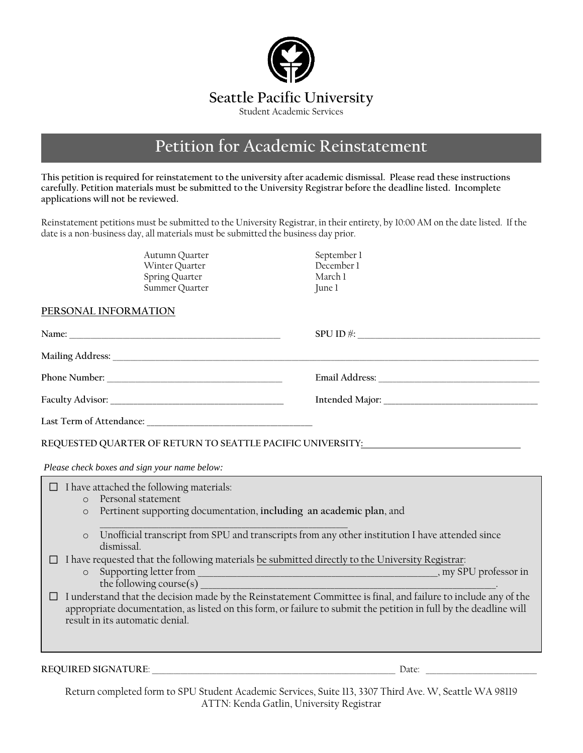

# **Petition for Academic Reinstatement**

**This petition is required for reinstatement to the university after academic dismissal. Please read these instructions carefully. Petition materials must be submitted to the University Registrar before the deadline listed. Incomplete applications will not be reviewed.** 

Reinstatement petitions must be submitted to the University Registrar, in their entirety, by 10:00 AM on the date listed. If the date is a non-business day, all materials must be submitted the business day prior.

> Autumn Quarter September 1<br>
> Winter Ouarter September 1 Winter Quarter 1997 (December 1997)<br>Spring Quarter 1997 (December 1997) Spring Quarter Summer Quarter June 1

# **PERSONAL INFORMATION**

| Phone Number:            |  |
|--------------------------|--|
|                          |  |
| Last Term of Attendance: |  |

**REQUESTED QUARTER OF RETURN TO SEATTLE PACIFIC UNIVERSITY:**

*Please check boxes and sign your name below:*

| $\bigcirc$ | I have attached the following materials:<br>Personal statement<br>Pertinent supporting documentation, including an academic plan, and                                                                                                                                  |  |
|------------|------------------------------------------------------------------------------------------------------------------------------------------------------------------------------------------------------------------------------------------------------------------------|--|
| $\circ$    |                                                                                                                                                                                                                                                                        |  |
| $\circ$    | Unofficial transcript from SPU and transcripts from any other institution I have attended since<br>dismissal.                                                                                                                                                          |  |
|            | I have requested that the following materials be submitted directly to the University Registrar:                                                                                                                                                                       |  |
| $\circ$    | Supporting letter from<br>, my SPU professor in<br>the following course(s)                                                                                                                                                                                             |  |
|            | I understand that the decision made by the Reinstatement Committee is final, and failure to include any of the<br>appropriate documentation, as listed on this form, or failure to submit the petition in full by the deadline will<br>result in its automatic denial. |  |
|            |                                                                                                                                                                                                                                                                        |  |
|            |                                                                                                                                                                                                                                                                        |  |

**REQUIRED SIGNATURE**: \_\_\_\_\_\_\_\_\_\_\_\_\_\_\_\_\_\_\_\_\_\_\_\_\_\_\_\_\_\_\_\_\_\_\_\_\_\_\_\_\_\_\_\_\_\_\_\_\_\_\_\_\_\_\_\_\_\_\_\_\_\_\_\_\_\_\_\_ Date: \_\_\_\_\_\_\_\_\_\_\_\_\_\_\_\_\_\_\_\_\_\_\_\_\_\_\_\_\_\_\_

Return completed form to SPU Student Academic Services, Suite 113, 3307 Third Ave. W, Seattle WA 98119 ATTN: Kenda Gatlin, University Registrar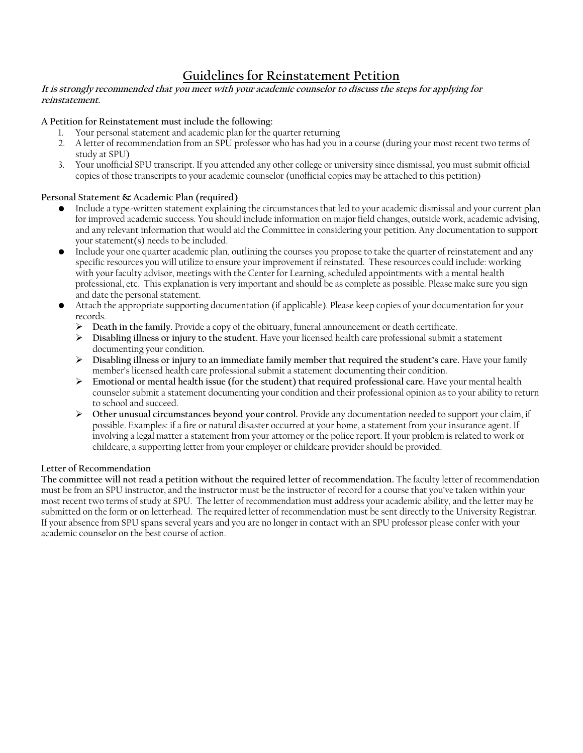# **Guidelines for Reinstatement Petition**

#### **It is strongly recommended that you meet with your academic counselor to discuss the steps for applying for reinstatement.**

#### **A Petition for Reinstatement must include the following:**

- 1. Your personal statement and academic plan for the quarter returning
- 2. A letter of recommendation from an SPU professor who has had you in a course (during your most recent two terms of study at SPU)
- 3. Your unofficial SPU transcript. If you attended any other college or university since dismissal, you must submit official copies of those transcripts to your academic counselor (unofficial copies may be attached to this petition)

# **Personal Statement & Academic Plan (required)**

- Include a type-written statement explaining the circumstances that led to your academic dismissal and your current plan for improved academic success. You should include information on major field changes, outside work, academic advising, and any relevant information that would aid the Committee in considering your petition. Any documentation to support your statement(s) needs to be included.
- Include your one quarter academic plan, outlining the courses you propose to take the quarter of reinstatement and any specific resources you will utilize to ensure your improvement if reinstated. These resources could include: working with your faculty advisor, meetings with the Center for Learning, scheduled appointments with a mental health professional, etc. This explanation is very important and should be as complete as possible. Please make sure you sign and date the personal statement.
- Attach the appropriate supporting documentation (if applicable). Please keep copies of your documentation for your records.
	- **Death in the family.** Provide a copy of the obituary, funeral announcement or death certificate.
	- **Disabling illness or injury to the student.** Have your licensed health care professional submit a statement documenting your condition.
	- **Disabling illness or injury to an immediate family member that required the student's care.** Have your family member's licensed health care professional submit a statement documenting their condition.
	- **Emotional or mental health issue (for the student) that required professional care.** Have your mental health counselor submit a statement documenting your condition and their professional opinion as to your ability to return to school and succeed.
	- **Other unusual circumstances beyond your control.** Provide any documentation needed to support your claim, if possible. Examples: if a fire or natural disaster occurred at your home, a statement from your insurance agent. If involving a legal matter a statement from your attorney or the police report. If your problem is related to work or childcare, a supporting letter from your employer or childcare provider should be provided.

# **Letter of Recommendation**

**The committee will not read a petition without the required letter of recommendation.** The faculty letter of recommendation must be from an SPU instructor, and the instructor must be the instructor of record for a course that you've taken within your most recent two terms of study at SPU. The letter of recommendation must address your academic ability, and the letter may be submitted on the form or on letterhead. The required letter of recommendation must be sent directly to the University Registrar. If your absence from SPU spans several years and you are no longer in contact with an SPU professor please confer with your academic counselor on the best course of action.